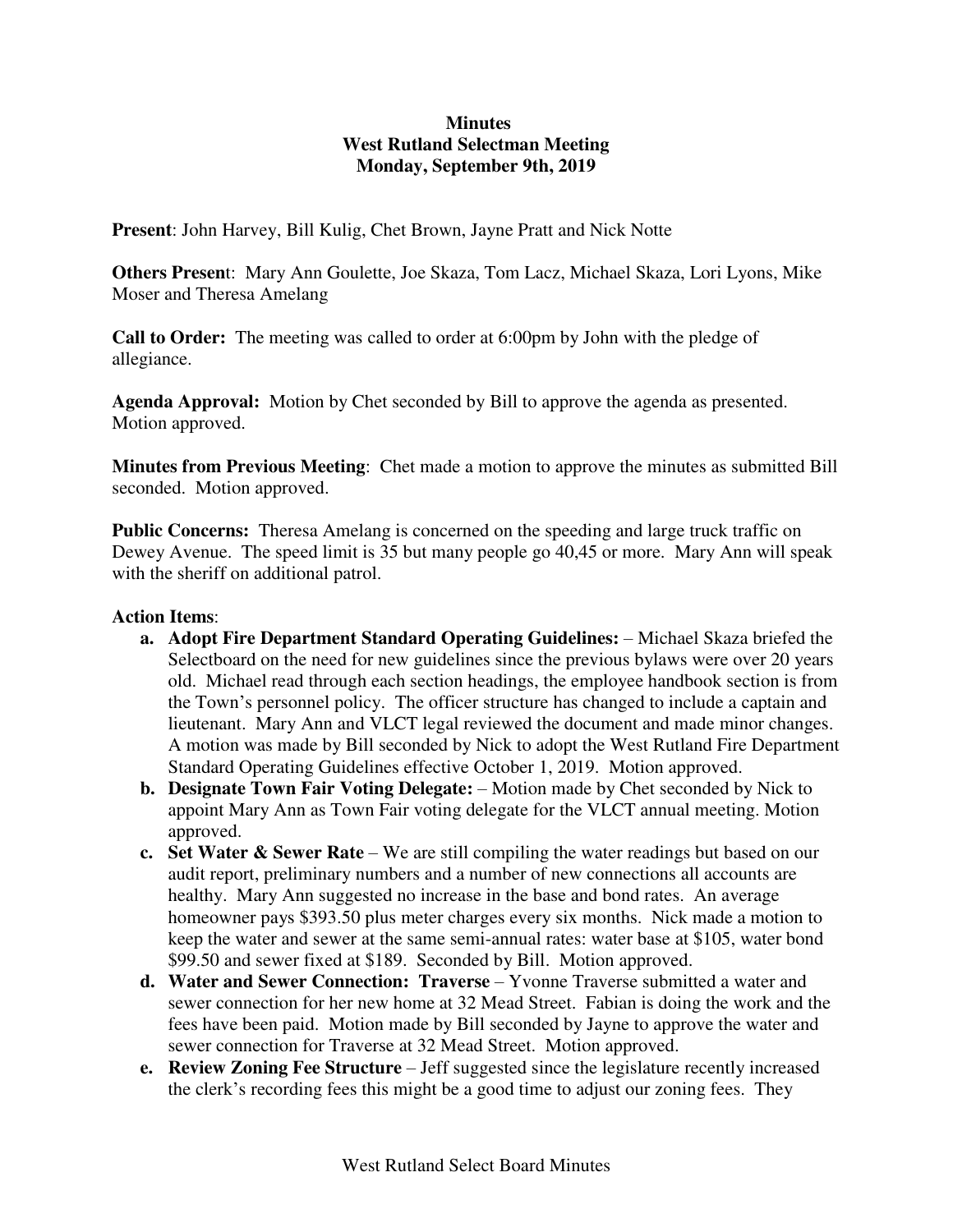# **Minutes West Rutland Selectman Meeting Monday, September 9th, 2019**

**Present**: John Harvey, Bill Kulig, Chet Brown, Jayne Pratt and Nick Notte

**Others Presen**t: Mary Ann Goulette, Joe Skaza, Tom Lacz, Michael Skaza, Lori Lyons, Mike Moser and Theresa Amelang

**Call to Order:** The meeting was called to order at 6:00pm by John with the pledge of allegiance.

**Agenda Approval:** Motion by Chet seconded by Bill to approve the agenda as presented. Motion approved.

**Minutes from Previous Meeting**: Chet made a motion to approve the minutes as submitted Bill seconded. Motion approved.

**Public Concerns:** Theresa Amelang is concerned on the speeding and large truck traffic on Dewey Avenue. The speed limit is 35 but many people go 40,45 or more. Mary Ann will speak with the sheriff on additional patrol.

#### **Action Items**:

- **a. Adopt Fire Department Standard Operating Guidelines:**  Michael Skaza briefed the Selectboard on the need for new guidelines since the previous bylaws were over 20 years old. Michael read through each section headings, the employee handbook section is from the Town's personnel policy. The officer structure has changed to include a captain and lieutenant. Mary Ann and VLCT legal reviewed the document and made minor changes. A motion was made by Bill seconded by Nick to adopt the West Rutland Fire Department Standard Operating Guidelines effective October 1, 2019. Motion approved.
- **b. Designate Town Fair Voting Delegate:** Motion made by Chet seconded by Nick to appoint Mary Ann as Town Fair voting delegate for the VLCT annual meeting. Motion approved.
- **c. Set Water & Sewer Rate** We are still compiling the water readings but based on our audit report, preliminary numbers and a number of new connections all accounts are healthy. Mary Ann suggested no increase in the base and bond rates. An average homeowner pays \$393.50 plus meter charges every six months. Nick made a motion to keep the water and sewer at the same semi-annual rates: water base at \$105, water bond \$99.50 and sewer fixed at \$189. Seconded by Bill. Motion approved.
- **d. Water and Sewer Connection: Traverse**  Yvonne Traverse submitted a water and sewer connection for her new home at 32 Mead Street. Fabian is doing the work and the fees have been paid. Motion made by Bill seconded by Jayne to approve the water and sewer connection for Traverse at 32 Mead Street. Motion approved.
- **e. Review Zoning Fee Structure** Jeff suggested since the legislature recently increased the clerk's recording fees this might be a good time to adjust our zoning fees. They